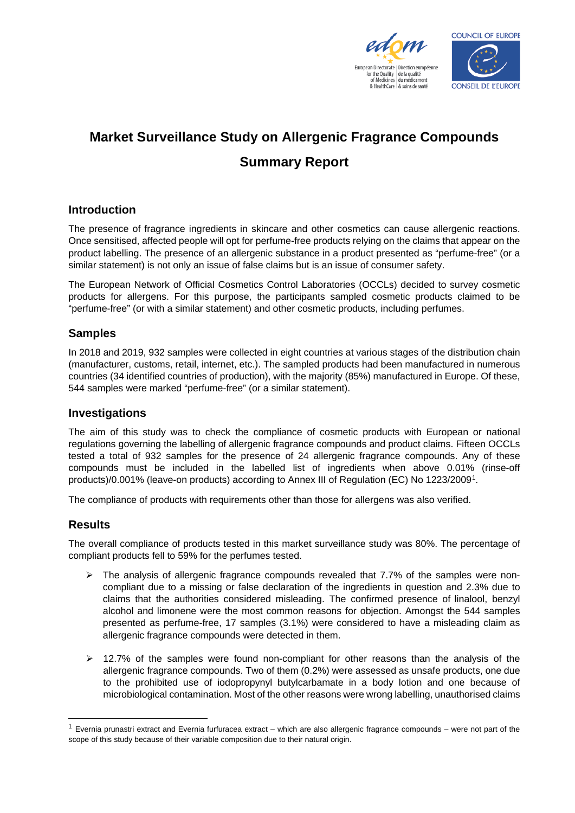



# **Market Surveillance Study on Allergenic Fragrance Compounds Summary Report**

# **Introduction**

The presence of fragrance ingredients in skincare and other cosmetics can cause allergenic reactions. Once sensitised, affected people will opt for perfume-free products relying on the claims that appear on the product labelling. The presence of an allergenic substance in a product presented as "perfume-free" (or a similar statement) is not only an issue of false claims but is an issue of consumer safety.

The European Network of Official Cosmetics Control Laboratories (OCCLs) decided to survey cosmetic products for allergens. For this purpose, the participants sampled cosmetic products claimed to be "perfume-free" (or with a similar statement) and other cosmetic products, including perfumes.

# **Samples**

In 2018 and 2019, 932 samples were collected in eight countries at various stages of the distribution chain (manufacturer, customs, retail, internet, etc.). The sampled products had been manufactured in numerous countries (34 identified countries of production), with the majority (85%) manufactured in Europe. Of these, 544 samples were marked "perfume-free" (or a similar statement).

# **Investigations**

The aim of this study was to check the compliance of cosmetic products with European or national regulations governing the labelling of allergenic fragrance compounds and product claims. Fifteen OCCLs tested a total of 932 samples for the presence of 24 allergenic fragrance compounds. Any of these compounds must be included in the labelled list of ingredients when above 0.01% (rinse-off products)/0.001% (leave-on products) according to Annex III of Regulation (EC) No 1223/2009[1](#page-0-0).

The compliance of products with requirements other than those for allergens was also verified.

# **Results**

The overall compliance of products tested in this market surveillance study was 80%. The percentage of compliant products fell to 59% for the perfumes tested.

- $\triangleright$  The analysis of allergenic fragrance compounds revealed that 7.7% of the samples were noncompliant due to a missing or false declaration of the ingredients in question and 2.3% due to claims that the authorities considered misleading. The confirmed presence of linalool, benzyl alcohol and limonene were the most common reasons for objection. Amongst the 544 samples presented as perfume-free, 17 samples (3.1%) were considered to have a misleading claim as allergenic fragrance compounds were detected in them.
- $\geq$  12.7% of the samples were found non-compliant for other reasons than the analysis of the allergenic fragrance compounds. Two of them (0.2%) were assessed as unsafe products, one due to the prohibited use of iodopropynyl butylcarbamate in a body lotion and one because of microbiological contamination. Most of the other reasons were wrong labelling, unauthorised claims

<span id="page-0-0"></span> <sup>1</sup> Evernia prunastri extract and Evernia furfuracea extract – which are also allergenic fragrance compounds – were not part of the scope of this study because of their variable composition due to their natural origin.